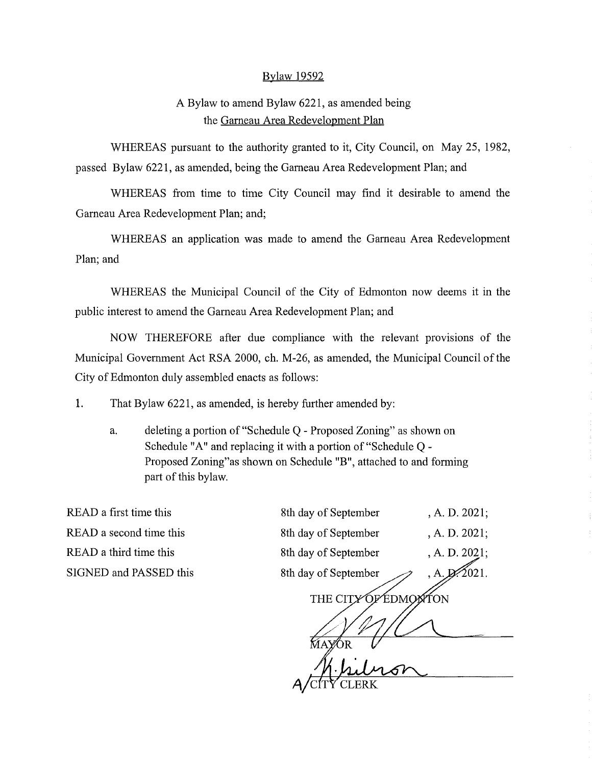### Bylaw 19592

### A Bylaw to amend Bylaw 6221, as amended being the Garneau Area Redevelopment Plan

WHEREAS pursuant to the authority granted to it, City Council, on May 25, 1982, passed Bylaw 6221, as amended, being the Garneau Area Redevelopment Plan; and

WHEREAS from time to time City Council may find it desirable to amend the Garneau Area Redevelopment Plan; and;

WHEREAS an application was made to amend the Garneau Area Redevelopment Plan; and

WHEREAS the Municipal Council of the City of Edmonton now deems it in the public interest to amend the Garneau Area Redevelopment Plan; and

NOW THEREFORE after due compliance with the relevant provisions of the Municipal Government Act RSA 2000, ch. M-26, as amended, the Municipal Council of the City of Edmonton duly assembled enacts as follows:

I. That Bylaw 6221, as amended, is hereby further amended by:

a. deleting a portion of "Schedule Q - Proposed Zoning" as shown on Schedule "A" and replacing it with a portion of "Schedule Q - Proposed Zoning"as shown on Schedule "B", attached to and forming part of this bylaw.

READ a first time this READ a second time this READ a third time this SIGNED and PASSED this

| 8th day of September         | , A. D. 2021; |
|------------------------------|---------------|
| 8th day of September         | , A. D. 2021; |
| 8th day of September         | , A. D. 2021; |
| 8th day of September         | , A           |
| THE CIT<br><b>EDMO</b><br>λN |               |
|                              |               |
|                              |               |
|                              |               |
|                              |               |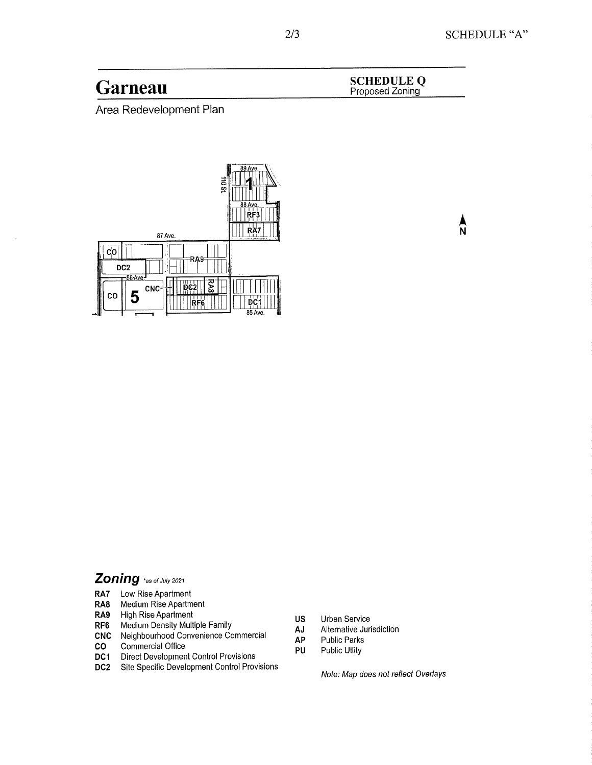$\frac{\lambda}{N}$ 

Garneau SCHEDULE Q

Area Redevelopment Plan



# **Zoning** `as of July 2021

- RA7 Low Rise Apartment
- RA8 Medium Rise Apartment
- RA9 High Rise Apartment
- RF6 Medium Density Multiple Family
- CNC Neighbourhood Convenience Commercial
- CO Commercial Office
- DC1 Direct Development Control Provisions
- DC2 Site Specific Development Control Provisions
- US Urban Service<br>AJ Alternative Juri
- AJ Alternative Jurisdiction<br>AP Public Parks
- **AP** Public Parks<br>**PU** Public Utlity
	- Public Utlity

Note: Map does not reflect Overlays